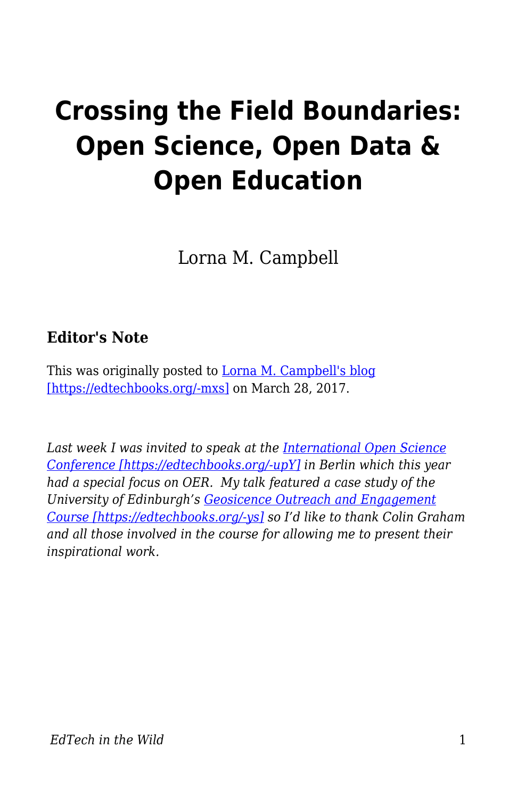## **Crossing the Field Boundaries: Open Science, Open Data & Open Education**

Lorna M. Campbell

## **Editor's Note**

This was originally posted to [Lorna M. Campbell's blog](http://lornamcampbell.org/higher-education/crossing-the-field-boundaries-open-science-open-data-open-education/) [\[https://edtechbooks.org/-mxs\]](http://lornamcampbell.org/higher-education/crossing-the-field-boundaries-open-science-open-data-open-education/) on March 28, 2017.

*Last week I was invited to speak at the [International Open Science](https://www.open-science-conference.eu/) [Conference \[https://edtechbooks.org/-upY\]](https://www.open-science-conference.eu/) in Berlin which this year had a special focus on OER. My talk featured a case study of the University of Edinburgh's [Geosicence Outreach and Engagement](https://geoscienceoutreach.wordpress.com/) [Course \[https://edtechbooks.org/-ys\]](https://geoscienceoutreach.wordpress.com/) so I'd like to thank Colin Graham and all those involved in the course for allowing me to present their inspirational work.*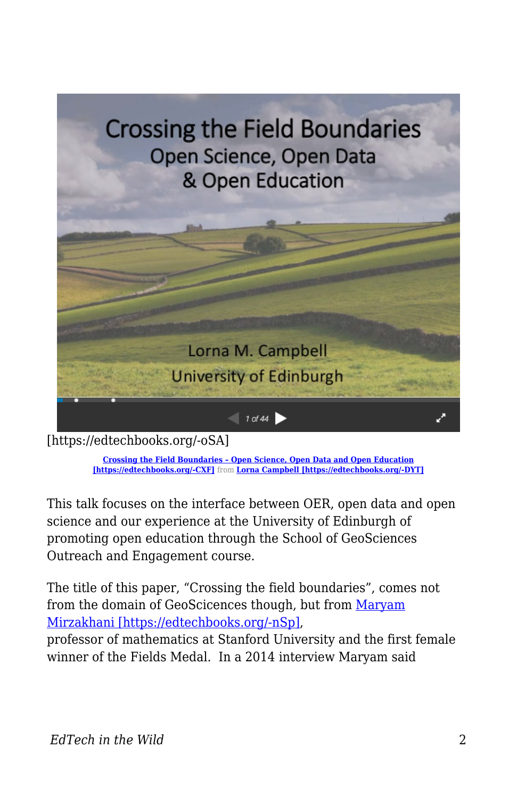

[https://edtechbooks.org/-oSA]

**[Crossing the Field Boundaries – Open Science, Open Data and Open Education](https://www.slideshare.net/LornaMCampbell/crossing-the-field-boundaries-open-science-open-data-and-open-education) [\[https://edtechbooks.org/-CXF\]](https://www.slideshare.net/LornaMCampbell/crossing-the-field-boundaries-open-science-open-data-and-open-education)** from **[Lorna Campbell \[https://edtechbooks.org/-DYT\]](http://www.slideshare.net/LornaMCampbell)**

This talk focuses on the interface between OER, open data and open science and our experience at the University of Edinburgh of promoting open education through the School of GeoSciences Outreach and Engagement course.

The title of this paper, "Crossing the field boundaries", comes not from the domain of GeoScicences though, but from [Maryam](https://en.wikipedia.org/wiki/Maryam_Mirzakhani) [Mirzakhani \[https://edtechbooks.org/-nSp\],](https://en.wikipedia.org/wiki/Maryam_Mirzakhani)

professor of mathematics at Stanford University and the first female winner of the Fields Medal. In a 2014 interview Maryam said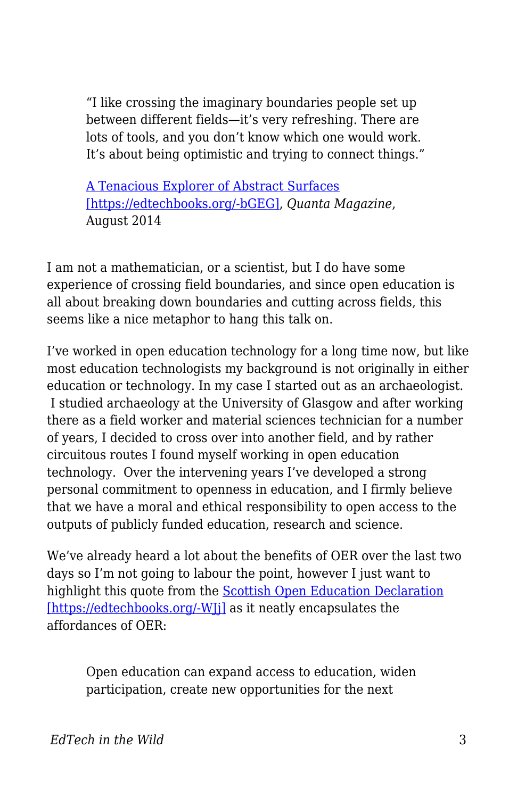"I like crossing the imaginary boundaries people set up between different fields—it's very refreshing. There are lots of tools, and you don't know which one would work. It's about being optimistic and trying to connect things."

[A Tenacious Explorer of Abstract Surfaces](https://www.quantamagazine.org/20140812-a-tenacious-explorer-of-abstract-surfaces/) [\[https://edtechbooks.org/-bGEG\]](https://www.quantamagazine.org/20140812-a-tenacious-explorer-of-abstract-surfaces/), *Quanta Magazine*, August 2014

I am not a mathematician, or a scientist, but I do have some experience of crossing field boundaries, and since open education is all about breaking down boundaries and cutting across fields, this seems like a nice metaphor to hang this talk on.

I've worked in open education technology for a long time now, but like most education technologists my background is not originally in either education or technology. In my case I started out as an archaeologist. I studied archaeology at the University of Glasgow and after working there as a field worker and material sciences technician for a number of years, I decided to cross over into another field, and by rather circuitous routes I found myself working in open education technology. Over the intervening years I've developed a strong personal commitment to openness in education, and I firmly believe that we have a moral and ethical responsibility to open access to the outputs of publicly funded education, research and science.

We've already heard a lot about the benefits of OER over the last two days so I'm not going to labour the point, however I just want to highlight this quote from the [Scottish Open Education Declaration](http://declaration.openscot.net/) [\[https://edtechbooks.org/-WJj\]](http://declaration.openscot.net/) as it neatly encapsulates the affordances of OER:

Open education can expand access to education, widen participation, create new opportunities for the next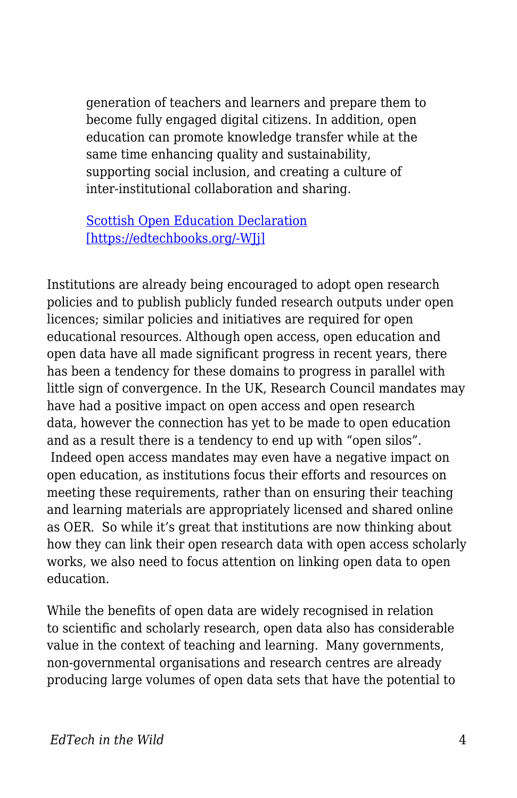generation of teachers and learners and prepare them to become fully engaged digital citizens. In addition, open education can promote knowledge transfer while at the same time enhancing quality and sustainability, supporting social inclusion, and creating a culture of inter-institutional collaboration and sharing.

[Scottish Open Education Declaration](http://declaration.openscot.net/) [\[https://edtechbooks.org/-WJj\]](http://declaration.openscot.net/)

Institutions are already being encouraged to adopt open research policies and to publish publicly funded research outputs under open licences; similar policies and initiatives are required for open educational resources. Although open access, open education and open data have all made significant progress in recent years, there has been a tendency for these domains to progress in parallel with little sign of convergence. In the UK, Research Council mandates may have had a positive impact on open access and open research data, however the connection has yet to be made to open education and as a result there is a tendency to end up with "open silos". Indeed open access mandates may even have a negative impact on open education, as institutions focus their efforts and resources on meeting these requirements, rather than on ensuring their teaching and learning materials are appropriately licensed and shared online as OER. So while it's great that institutions are now thinking about how they can link their open research data with open access scholarly works, we also need to focus attention on linking open data to open education.

While the benefits of open data are widely recognised in relation to scientific and scholarly research, open data also has considerable value in the context of teaching and learning. Many governments, non-governmental organisations and research centres are already producing large volumes of open data sets that have the potential to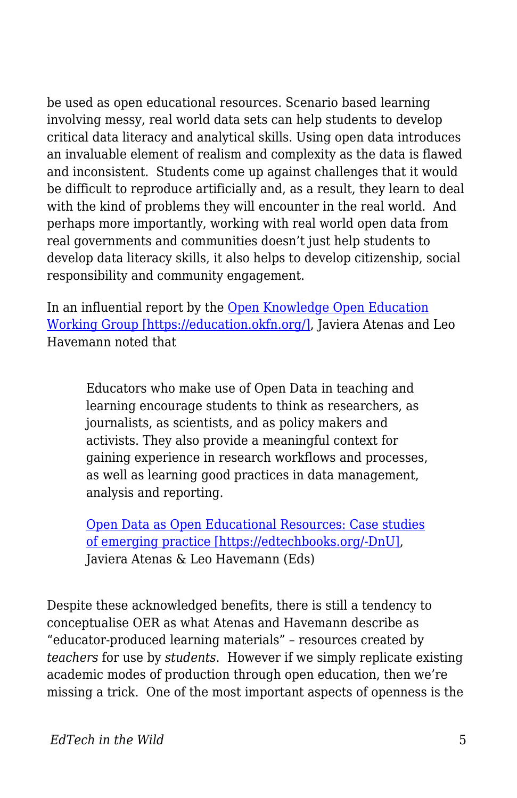be used as open educational resources. Scenario based learning involving messy, real world data sets can help students to develop critical data literacy and analytical skills. Using open data introduces an invaluable element of realism and complexity as the data is flawed and inconsistent. Students come up against challenges that it would be difficult to reproduce artificially and, as a result, they learn to deal with the kind of problems they will encounter in the real world. And perhaps more importantly, working with real world open data from real governments and communities doesn't just help students to develop data literacy skills, it also helps to develop citizenship, social responsibility and community engagement.

In an influential report by the [Open Knowledge Open Education](https://education.okfn.org/) [Working Group \[https://education.okfn.org/\],](https://education.okfn.org/) Javiera Atenas and Leo Havemann noted that

Educators who make use of Open Data in teaching and learning encourage students to think as researchers, as journalists, as scientists, and as policy makers and activists. They also provide a meaningful context for gaining experience in research workflows and processes, as well as learning good practices in data management, analysis and reporting.

[Open Data as Open Educational Resources: Case studies](http://education.websites.okfn.org/files/2015/11/Book-Open-Data-as-Open-Educational-Resources1.pdf) [of emerging practice \[https://edtechbooks.org/-DnU\]](http://education.websites.okfn.org/files/2015/11/Book-Open-Data-as-Open-Educational-Resources1.pdf), Javiera Atenas & Leo Havemann (Eds)

Despite these acknowledged benefits, there is still a tendency to conceptualise OER as what Atenas and Havemann describe as "educator-produced learning materials" – resources created by *teachers* for use by *students*. However if we simply replicate existing academic modes of production through open education, then we're missing a trick. One of the most important aspects of openness is the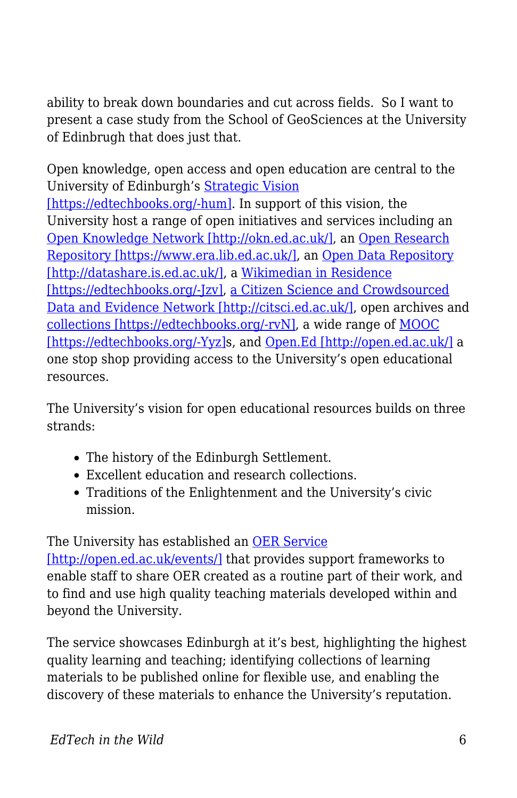ability to break down boundaries and cut across fields. So I want to present a case study from the School of GeoSciences at the University of Edinbrugh that does just that.

Open knowledge, open access and open education are central to the University of Edinburgh's [Strategic Vision](http://www.docs.sasg.ed.ac.uk/gasp/strategicplanning/Strategic-Vision_web2.pdf) [\[https://edtechbooks.org/-hum\].](http://www.docs.sasg.ed.ac.uk/gasp/strategicplanning/Strategic-Vision_web2.pdf) In support of this vision, the University host a range of open initiatives and services including an [Open Knowledge Network \[http://okn.ed.ac.uk/\]](http://okn.ed.ac.uk/), an [Open Research](https://www.era.lib.ed.ac.uk/) [Repository \[https://www.era.lib.ed.ac.uk/\]](https://www.era.lib.ed.ac.uk/), an [Open Data Repository](http://datashare.is.ed.ac.uk/) [\[http://datashare.is.ed.ac.uk/\]](http://datashare.is.ed.ac.uk/), a [Wikimedian in Residence](http://thinking.is.ed.ac.uk/wir/) [\[https://edtechbooks.org/-Jzv\],](http://thinking.is.ed.ac.uk/wir/) [a Citizen Science and Crowdsourced](http://citsci.ed.ac.uk/) [Data and Evidence Network \[http://citsci.ed.ac.uk/\],](http://citsci.ed.ac.uk/) open archives and [collections \[https://edtechbooks.org/-rvN\]](https://www.flickr.com/photos/crcedinburgh/), a wide range of [MOOC](http://www.ed.ac.uk/studying/moocs) [\[https://edtechbooks.org/-Yyz\]](http://www.ed.ac.uk/studying/moocs)s, and [Open.Ed \[http://open.ed.ac.uk/\]](http://open.ed.ac.uk/) a one stop shop providing access to the University's open educational resources.

The University's vision for open educational resources builds on three strands:

- The history of the Edinburgh Settlement.
- Excellent education and research collections.
- Traditions of the Enlightenment and the University's civic mission.

## The University has established an [OER Service](http://open.ed.ac.uk/events/)

[\[http://open.ed.ac.uk/events/\]](http://open.ed.ac.uk/events/) that provides support frameworks to enable staff to share OER created as a routine part of their work, and to find and use high quality teaching materials developed within and beyond the University.

The service showcases Edinburgh at it's best, highlighting the highest quality learning and teaching; identifying collections of learning materials to be published online for flexible use, and enabling the discovery of these materials to enhance the University's reputation.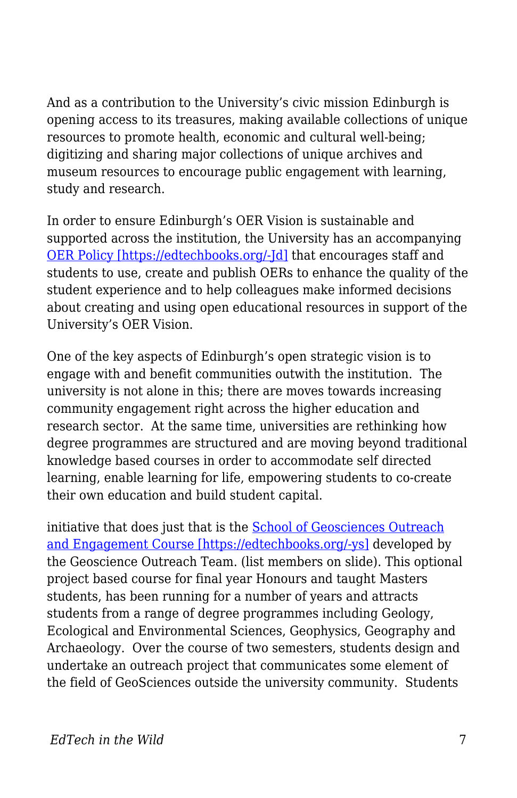And as a contribution to the University's civic mission Edinburgh is opening access to its treasures, making available collections of unique resources to promote health, economic and cultural well-being; digitizing and sharing major collections of unique archives and museum resources to encourage public engagement with learning, study and research.

In order to ensure Edinburgh's OER Vision is sustainable and supported across the institution, the University has an accompanying [OER Policy \[https://edtechbooks.org/-Jd\]](http://www.ed.ac.uk/files/atoms/files/openeducationalresourcespolicy.pdf) that encourages staff and students to use, create and publish OERs to enhance the quality of the student experience and to help colleagues make informed decisions about creating and using open educational resources in support of the University's OER Vision.

One of the key aspects of Edinburgh's open strategic vision is to engage with and benefit communities outwith the institution. The university is not alone in this; there are moves towards increasing community engagement right across the higher education and research sector. At the same time, universities are rethinking how degree programmes are structured and are moving beyond traditional knowledge based courses in order to accommodate self directed learning, enable learning for life, empowering students to co-create their own education and build student capital.

initiative that does just that is the **School of Geosciences Outreach** [and Engagement Course \[https://edtechbooks.org/-ys\]](https://geoscienceoutreach.wordpress.com/) developed by the Geoscience Outreach Team. (list members on slide). This optional project based course for final year Honours and taught Masters students, has been running for a number of years and attracts students from a range of degree programmes including Geology, Ecological and Environmental Sciences, Geophysics, Geography and Archaeology. Over the course of two semesters, students design and undertake an outreach project that communicates some element of the field of GeoSciences outside the university community. Students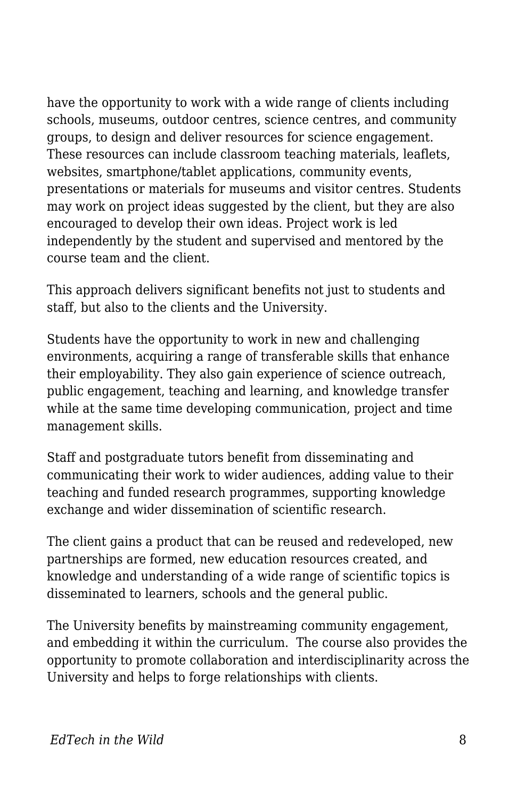have the opportunity to work with a wide range of clients including schools, museums, outdoor centres, science centres, and community groups, to design and deliver resources for science engagement. These resources can include classroom teaching materials, leaflets, websites, smartphone/tablet applications, community events, presentations or materials for museums and visitor centres. Students may work on project ideas suggested by the client, but they are also encouraged to develop their own ideas. Project work is led independently by the student and supervised and mentored by the course team and the client.

This approach delivers significant benefits not just to students and staff, but also to the clients and the University.

Students have the opportunity to work in new and challenging environments, acquiring a range of transferable skills that enhance their employability. They also gain experience of science outreach, public engagement, teaching and learning, and knowledge transfer while at the same time developing communication, project and time management skills.

Staff and postgraduate tutors benefit from disseminating and communicating their work to wider audiences, adding value to their teaching and funded research programmes, supporting knowledge exchange and wider dissemination of scientific research.

The client gains a product that can be reused and redeveloped, new partnerships are formed, new education resources created, and knowledge and understanding of a wide range of scientific topics is disseminated to learners, schools and the general public.

The University benefits by mainstreaming community engagement, and embedding it within the curriculum. The course also provides the opportunity to promote collaboration and interdisciplinarity across the University and helps to forge relationships with clients.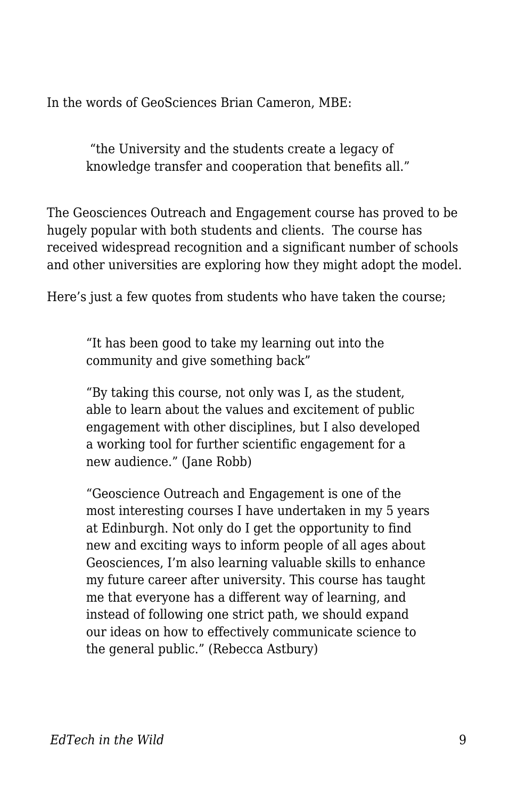In the words of GeoSciences Brian Cameron, MBE:

 "the University and the students create a legacy of knowledge transfer and cooperation that benefits all."

The Geosciences Outreach and Engagement course has proved to be hugely popular with both students and clients. The course has received widespread recognition and a significant number of schools and other universities are exploring how they might adopt the model.

Here's just a few quotes from students who have taken the course;

"It has been good to take my learning out into the community and give something back"

"By taking this course, not only was I, as the student, able to learn about the values and excitement of public engagement with other disciplines, but I also developed a working tool for further scientific engagement for a new audience." (Jane Robb)

"Geoscience Outreach and Engagement is one of the most interesting courses I have undertaken in my 5 years at Edinburgh. Not only do I get the opportunity to find new and exciting ways to inform people of all ages about Geosciences, I'm also learning valuable skills to enhance my future career after university. This course has taught me that everyone has a different way of learning, and instead of following one strict path, we should expand our ideas on how to effectively communicate science to the general public." (Rebecca Astbury)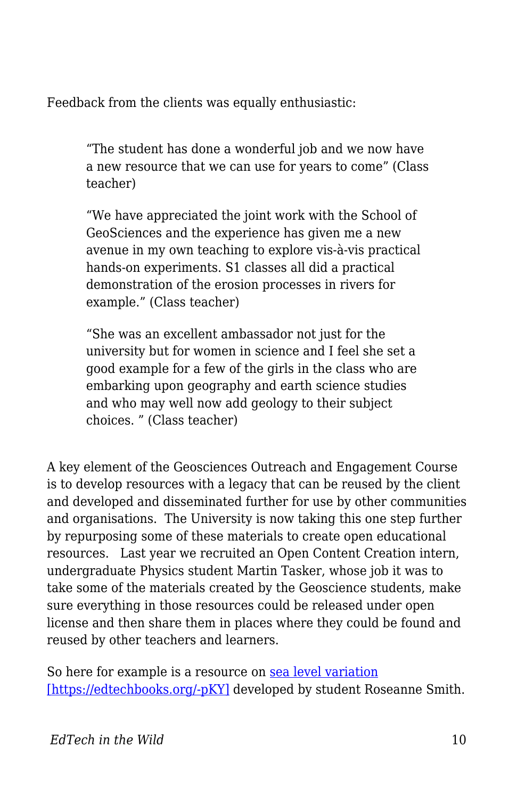Feedback from the clients was equally enthusiastic:

"The student has done a wonderful job and we now have a new resource that we can use for years to come" (Class teacher)

"We have appreciated the joint work with the School of GeoSciences and the experience has given me a new avenue in my own teaching to explore vis-à-vis practical hands-on experiments. S1 classes all did a practical demonstration of the erosion processes in rivers for example." (Class teacher)

"She was an excellent ambassador not just for the university but for women in science and I feel she set a good example for a few of the girls in the class who are embarking upon geography and earth science studies and who may well now add geology to their subject choices. " (Class teacher)

A key element of the Geosciences Outreach and Engagement Course is to develop resources with a legacy that can be reused by the client and developed and disseminated further for use by other communities and organisations. The University is now taking this one step further by repurposing some of these materials to create open educational resources. Last year we recruited an Open Content Creation intern, undergraduate Physics student Martin Tasker, whose job it was to take some of the materials created by the Geoscience students, make sure everything in those resources could be released under open license and then share them in places where they could be found and reused by other teachers and learners.

So here for example is a resource on [sea level variation](http://open.ed.ac.uk/the-sea-level-story-geoscience/) [\[https://edtechbooks.org/-pKY\]](http://open.ed.ac.uk/the-sea-level-story-geoscience/) developed by student Roseanne Smith.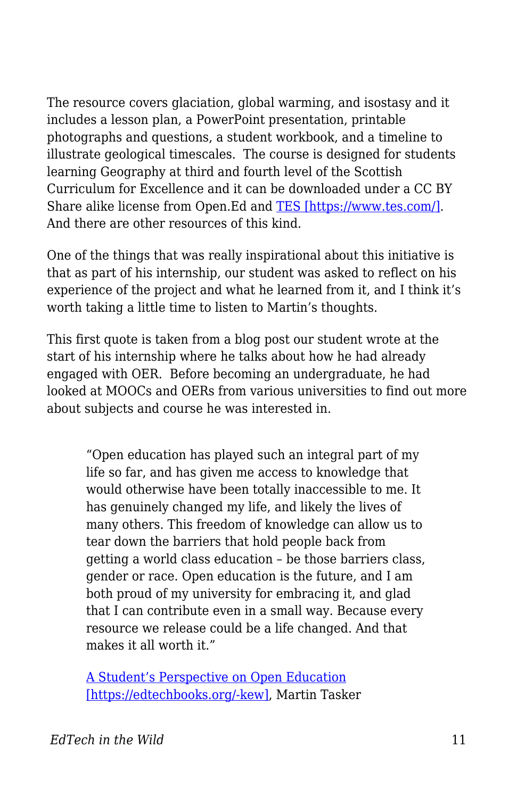The resource covers glaciation, global warming, and isostasy and it includes a lesson plan, a PowerPoint presentation, printable photographs and questions, a student workbook, and a timeline to illustrate geological timescales. The course is designed for students learning Geography at third and fourth level of the Scottish Curriculum for Excellence and it can be downloaded under a CC BY Share alike license from Open.Ed and [TES \[https://www.tes.com/\]](https://www.tes.com/). And there are other resources of this kind.

One of the things that was really inspirational about this initiative is that as part of his internship, our student was asked to reflect on his experience of the project and what he learned from it, and I think it's worth taking a little time to listen to Martin's thoughts.

This first quote is taken from a blog post our student wrote at the start of his internship where he talks about how he had already engaged with OER. Before becoming an undergraduate, he had looked at MOOCs and OERs from various universities to find out more about subjects and course he was interested in.

"Open education has played such an integral part of my life so far, and has given me access to knowledge that would otherwise have been totally inaccessible to me. It has genuinely changed my life, and likely the lives of many others. This freedom of knowledge can allow us to tear down the barriers that hold people back from getting a world class education – be those barriers class, gender or race. Open education is the future, and I am both proud of my university for embracing it, and glad that I can contribute even in a small way. Because every resource we release could be a life changed. And that makes it all worth it."

[A Student's Perspective on Open Education](http://www.ede.is.ed.ac.uk/wordpress/a-students-perspective-on-open-education/) [\[https://edtechbooks.org/-kew\],](http://www.ede.is.ed.ac.uk/wordpress/a-students-perspective-on-open-education/) Martin Tasker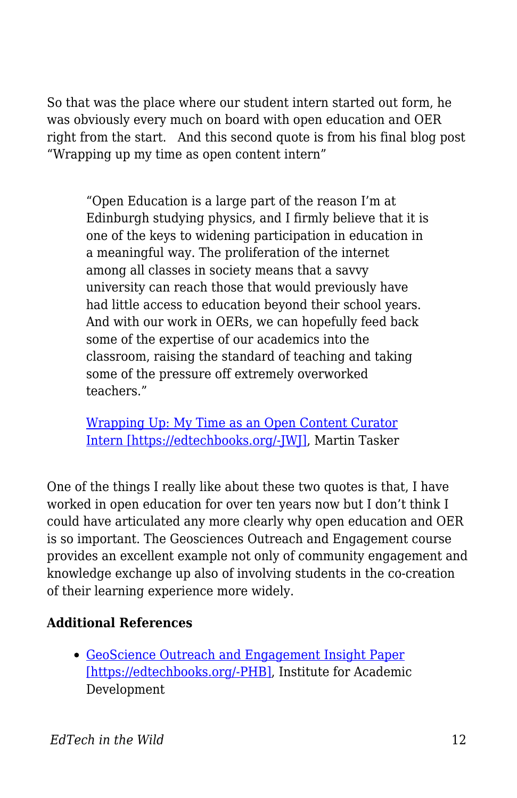So that was the place where our student intern started out form, he was obviously every much on board with open education and OER right from the start. And this second quote is from his final blog post "Wrapping up my time as open content intern"

"Open Education is a large part of the reason I'm at Edinburgh studying physics, and I firmly believe that it is one of the keys to widening participation in education in a meaningful way. The proliferation of the internet among all classes in society means that a savvy university can reach those that would previously have had little access to education beyond their school years. And with our work in OERs, we can hopefully feed back some of the expertise of our academics into the classroom, raising the standard of teaching and taking some of the pressure off extremely overworked teachers."

[Wrapping Up: My Time as an Open Content Curator](http://www.ede.is.ed.ac.uk/wordpress/wrapping-up-my-time-as-an-open-content-curator-intern/) [Intern \[https://edtechbooks.org/-JWJ\]](http://www.ede.is.ed.ac.uk/wordpress/wrapping-up-my-time-as-an-open-content-curator-intern/), Martin Tasker

One of the things I really like about these two quotes is that, I have worked in open education for over ten years now but I don't think I could have articulated any more clearly why open education and OER is so important. The Geosciences Outreach and Engagement course provides an excellent example not only of community engagement and knowledge exchange up also of involving students in the co-creation of their learning experience more widely.

## **Additional References**

[GeoScience Outreach and Engagement Insight Paper](http://www.docs.hss.ed.ac.uk/iad/Learning_teaching/Academic_teaching/Resources/Practice_sharing/GeoScience_Outreach_Insight_paper.pdf) [\[https://edtechbooks.org/-PHB\],](http://www.docs.hss.ed.ac.uk/iad/Learning_teaching/Academic_teaching/Resources/Practice_sharing/GeoScience_Outreach_Insight_paper.pdf) Institute for Academic Development